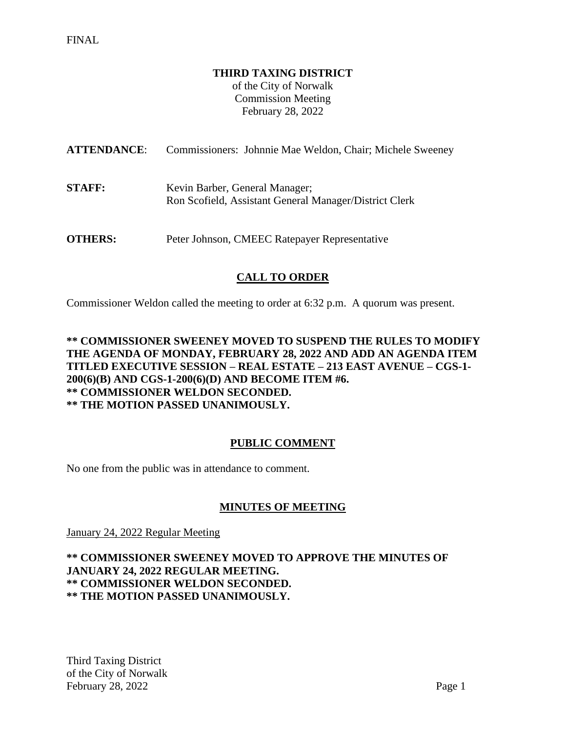### **THIRD TAXING DISTRICT**

of the City of Norwalk Commission Meeting February 28, 2022

| <b>ATTENDANCE:</b> | Commissioners: Johnnie Mae Weldon, Chair; Michele Sweeney                                |
|--------------------|------------------------------------------------------------------------------------------|
| <b>STAFF:</b>      | Kevin Barber, General Manager;<br>Ron Scofield, Assistant General Manager/District Clerk |
| <b>OTHERS:</b>     | Peter Johnson, CMEEC Ratepayer Representative                                            |

# **CALL TO ORDER**

Commissioner Weldon called the meeting to order at 6:32 p.m. A quorum was present.

## **\*\* COMMISSIONER SWEENEY MOVED TO SUSPEND THE RULES TO MODIFY THE AGENDA OF MONDAY, FEBRUARY 28, 2022 AND ADD AN AGENDA ITEM TITLED EXECUTIVE SESSION – REAL ESTATE – 213 EAST AVENUE – CGS-1- 200(6)(B) AND CGS-1-200(6)(D) AND BECOME ITEM #6. \*\* COMMISSIONER WELDON SECONDED. \*\* THE MOTION PASSED UNANIMOUSLY.**

## **PUBLIC COMMENT**

No one from the public was in attendance to comment.

## **MINUTES OF MEETING**

January 24, 2022 Regular Meeting

### **\*\* COMMISSIONER SWEENEY MOVED TO APPROVE THE MINUTES OF JANUARY 24, 2022 REGULAR MEETING. \*\* COMMISSIONER WELDON SECONDED. \*\* THE MOTION PASSED UNANIMOUSLY.**

Third Taxing District of the City of Norwalk February 28, 2022 Page 1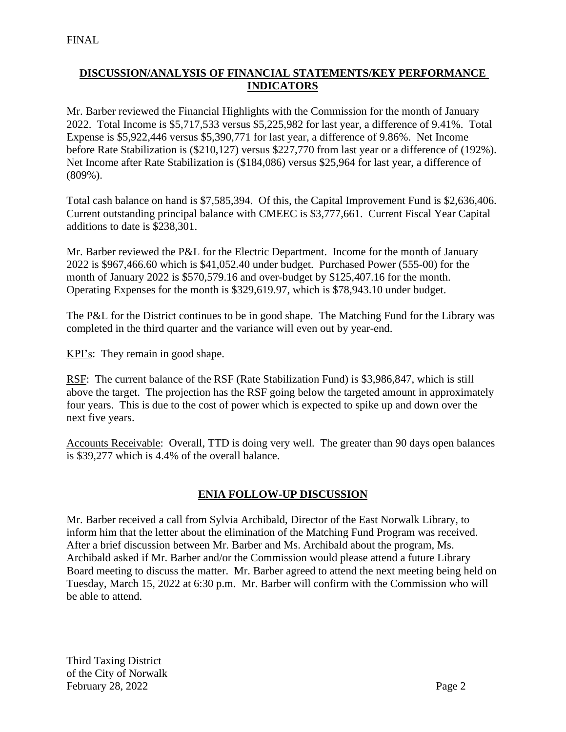# **DISCUSSION/ANALYSIS OF FINANCIAL STATEMENTS/KEY PERFORMANCE INDICATORS**

Mr. Barber reviewed the Financial Highlights with the Commission for the month of January 2022. Total Income is \$5,717,533 versus \$5,225,982 for last year, a difference of 9.41%. Total Expense is \$5,922,446 versus \$5,390,771 for last year, a difference of 9.86%. Net Income before Rate Stabilization is (\$210,127) versus \$227,770 from last year or a difference of (192%). Net Income after Rate Stabilization is (\$184,086) versus \$25,964 for last year, a difference of (809%).

Total cash balance on hand is \$7,585,394. Of this, the Capital Improvement Fund is \$2,636,406. Current outstanding principal balance with CMEEC is \$3,777,661. Current Fiscal Year Capital additions to date is \$238,301.

Mr. Barber reviewed the P&L for the Electric Department. Income for the month of January 2022 is \$967,466.60 which is \$41,052.40 under budget. Purchased Power (555-00) for the month of January 2022 is \$570,579.16 and over-budget by \$125,407.16 for the month. Operating Expenses for the month is \$329,619.97, which is \$78,943.10 under budget.

The P&L for the District continues to be in good shape. The Matching Fund for the Library was completed in the third quarter and the variance will even out by year-end.

KPI's: They remain in good shape.

RSF: The current balance of the RSF (Rate Stabilization Fund) is \$3,986,847, which is still above the target. The projection has the RSF going below the targeted amount in approximately four years. This is due to the cost of power which is expected to spike up and down over the next five years.

Accounts Receivable: Overall, TTD is doing very well. The greater than 90 days open balances is \$39,277 which is 4.4% of the overall balance.

## **ENIA FOLLOW-UP DISCUSSION**

Mr. Barber received a call from Sylvia Archibald, Director of the East Norwalk Library, to inform him that the letter about the elimination of the Matching Fund Program was received. After a brief discussion between Mr. Barber and Ms. Archibald about the program, Ms. Archibald asked if Mr. Barber and/or the Commission would please attend a future Library Board meeting to discuss the matter. Mr. Barber agreed to attend the next meeting being held on Tuesday, March 15, 2022 at 6:30 p.m. Mr. Barber will confirm with the Commission who will be able to attend.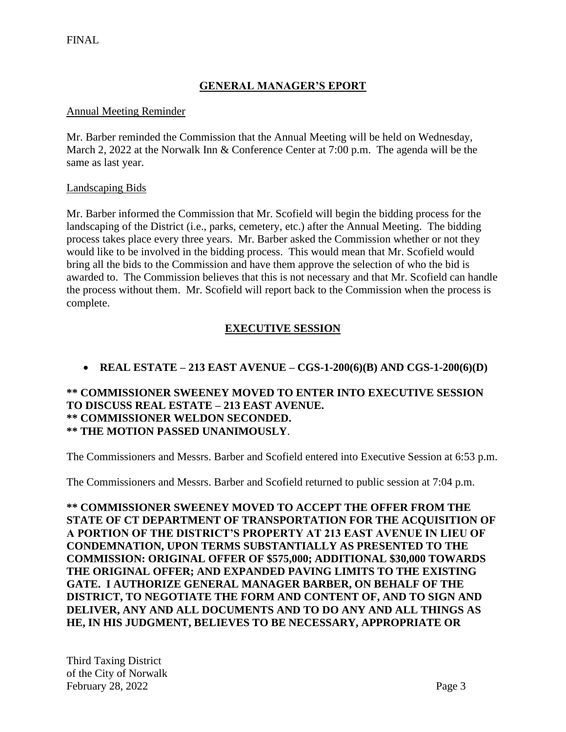# **GENERAL MANAGER'S EPORT**

### Annual Meeting Reminder

Mr. Barber reminded the Commission that the Annual Meeting will be held on Wednesday, March 2, 2022 at the Norwalk Inn & Conference Center at 7:00 p.m. The agenda will be the same as last year.

### Landscaping Bids

Mr. Barber informed the Commission that Mr. Scofield will begin the bidding process for the landscaping of the District (i.e., parks, cemetery, etc.) after the Annual Meeting. The bidding process takes place every three years. Mr. Barber asked the Commission whether or not they would like to be involved in the bidding process. This would mean that Mr. Scofield would bring all the bids to the Commission and have them approve the selection of who the bid is awarded to. The Commission believes that this is not necessary and that Mr. Scofield can handle the process without them. Mr. Scofield will report back to the Commission when the process is complete.

# **EXECUTIVE SESSION**

# • **REAL ESTATE – 213 EAST AVENUE – CGS-1-200(6)(B) AND CGS-1-200(6)(D)**

### **\*\* COMMISSIONER SWEENEY MOVED TO ENTER INTO EXECUTIVE SESSION TO DISCUSS REAL ESTATE – 213 EAST AVENUE. \*\* COMMISSIONER WELDON SECONDED. \*\* THE MOTION PASSED UNANIMOUSLY**.

The Commissioners and Messrs. Barber and Scofield entered into Executive Session at 6:53 p.m.

The Commissioners and Messrs. Barber and Scofield returned to public session at 7:04 p.m.

**\*\* COMMISSIONER SWEENEY MOVED TO ACCEPT THE OFFER FROM THE STATE OF CT DEPARTMENT OF TRANSPORTATION FOR THE ACQUISITION OF A PORTION OF THE DISTRICT'S PROPERTY AT 213 EAST AVENUE IN LIEU OF CONDEMNATION, UPON TERMS SUBSTANTIALLY AS PRESENTED TO THE COMMISSION: ORIGINAL OFFER OF \$575,000; ADDITIONAL \$30,000 TOWARDS THE ORIGINAL OFFER; AND EXPANDED PAVING LIMITS TO THE EXISTING GATE. I AUTHORIZE GENERAL MANAGER BARBER, ON BEHALF OF THE DISTRICT, TO NEGOTIATE THE FORM AND CONTENT OF, AND TO SIGN AND DELIVER, ANY AND ALL DOCUMENTS AND TO DO ANY AND ALL THINGS AS HE, IN HIS JUDGMENT, BELIEVES TO BE NECESSARY, APPROPRIATE OR**